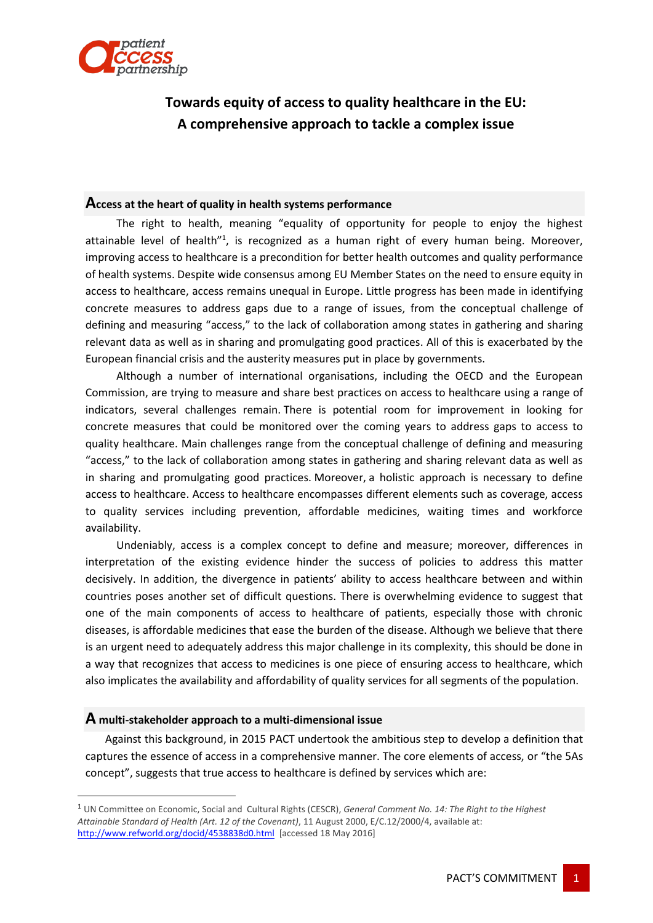

# **Towards equity of access to quality healthcare in the EU: A comprehensive approach to tackle a complex issue**

### **Access at the heart of quality in health systems performance**

The right to health, meaning "equality of opportunity for people to enjoy the highest attainable level of health"<sup>1</sup>, is recognized as a human right of every human being. Moreover, improving access to healthcare is a precondition for better health outcomes and quality performance of health systems. Despite wide consensus among EU Member States on the need to ensure equity in access to healthcare, access remains unequal in Europe. Little progress has been made in identifying concrete measures to address gaps due to a range of issues, from the conceptual challenge of defining and measuring "access," to the lack of collaboration among states in gathering and sharing relevant data as well as in sharing and promulgating good practices. All of this is exacerbated by the European financial crisis and the austerity measures put in place by governments.

Although a number of international organisations, including the OECD and the European Commission, are trying to measure and share best practices on access to healthcare using a range of indicators, several challenges remain. There is potential room for improvement in looking for concrete measures that could be monitored over the coming years to address gaps to access to quality healthcare. Main challenges range from the conceptual challenge of defining and measuring "access," to the lack of collaboration among states in gathering and sharing relevant data as well as in sharing and promulgating good practices. Moreover, a holistic approach is necessary to define access to healthcare. Access to healthcare encompasses different elements such as coverage, access to quality services including prevention, affordable medicines, waiting times and workforce availability.

Undeniably, access is a complex concept to define and measure; moreover, differences in interpretation of the existing evidence hinder the success of policies to address this matter decisively. In addition, the divergence in patients' ability to access healthcare between and within countries poses another set of difficult questions. There is overwhelming evidence to suggest that one of the main components of access to healthcare of patients, especially those with chronic diseases, is affordable medicines that ease the burden of the disease. Although we believe that there is an urgent need to adequately address this major challenge in its complexity, this should be done in a way that recognizes that access to medicines is one piece of ensuring access to healthcare, which also implicates the availability and affordability of quality services for all segments of the population.

#### **A multi-stakeholder approach to a multi-dimensional issue**

**.** 

Against this background, in 2015 PACT undertook the ambitious step to develop a definition that captures the essence of access in a comprehensive manner. The core elements of access, or "the 5As concept", suggests that true access to healthcare is defined by services which are:

<sup>1</sup> UN Committee on Economic, Social and Cultural Rights (CESCR), *General Comment No. 14: The Right to the Highest Attainable Standard of Health (Art. 12 of the Covenant)*, 11 August 2000, E/C.12/2000/4, available at: <http://www.refworld.org/docid/4538838d0.html> [accessed 18 May 2016]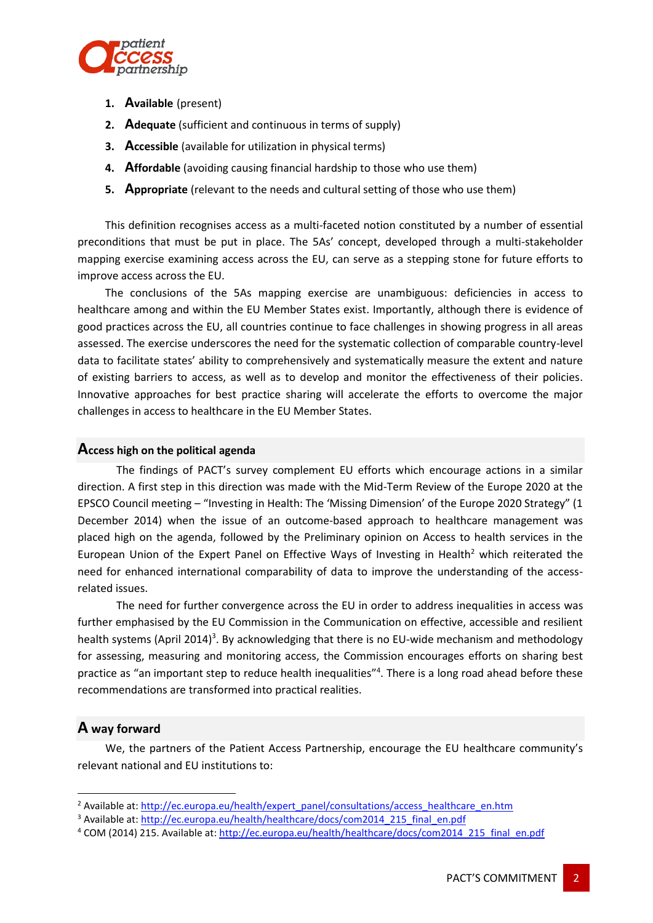

- **1. Available** (present)
- **2. Adequate** (sufficient and continuous in terms of supply)
- **3. Accessible** (available for utilization in physical terms)
- **4. Affordable** (avoiding causing financial hardship to those who use them)
- **5. Appropriate** (relevant to the needs and cultural setting of those who use them)

This definition recognises access as a multi-faceted notion constituted by a number of essential preconditions that must be put in place. The 5As' concept, developed through a multi-stakeholder mapping exercise examining access across the EU, can serve as a stepping stone for future efforts to improve access across the EU.

The conclusions of the 5As mapping exercise are unambiguous: deficiencies in access to healthcare among and within the EU Member States exist. Importantly, although there is evidence of good practices across the EU, all countries continue to face challenges in showing progress in all areas assessed. The exercise underscores the need for the systematic collection of comparable country-level data to facilitate states' ability to comprehensively and systematically measure the extent and nature of existing barriers to access, as well as to develop and monitor the effectiveness of their policies. Innovative approaches for best practice sharing will accelerate the efforts to overcome the major challenges in access to healthcare in the EU Member States.

## **Access high on the political agenda**

The findings of PACT's survey complement EU efforts which encourage actions in a similar direction. A first step in this direction was made with the Mid-Term Review of the Europe 2020 at the EPSCO Council meeting – "Investing in Health: The 'Missing Dimension' of the Europe 2020 Strategy" (1 December 2014) when the issue of an outcome-based approach to healthcare management was placed high on the agenda, followed by the Preliminary opinion on Access to health services in the European Union of the Expert Panel on Effective Ways of Investing in Health<sup>2</sup> which reiterated the need for enhanced international comparability of data to improve the understanding of the accessrelated issues.

The need for further convergence across the EU in order to address inequalities in access was further emphasised by the EU Commission in the Communication on effective, accessible and resilient health systems (April 2014)<sup>3</sup>. By acknowledging that there is no EU-wide mechanism and methodology for assessing, measuring and monitoring access, the Commission encourages efforts on sharing best practice as "an important step to reduce health inequalities"<sup>4</sup>. There is a long road ahead before these recommendations are transformed into practical realities.

## **A way forward**

1

We, the partners of the Patient Access Partnership, encourage the EU healthcare community's relevant national and EU institutions to:

<sup>&</sup>lt;sup>2</sup> Available at[: http://ec.europa.eu/health/expert\\_panel/consultations/access\\_healthcare\\_en.htm](http://ec.europa.eu/health/expert_panel/consultations/access_healthcare_en.htm)

<sup>&</sup>lt;sup>3</sup> Available at[: http://ec.europa.eu/health/healthcare/docs/com2014\\_215\\_final\\_en.pdf](http://ec.europa.eu/health/healthcare/docs/com2014_215_final_en.pdf)

<sup>4</sup> COM (2014) 215. Available at: [http://ec.europa.eu/health/healthcare/docs/com2014\\_215\\_final\\_en.pdf](http://ec.europa.eu/health/healthcare/docs/com2014_215_final_en.pdf)